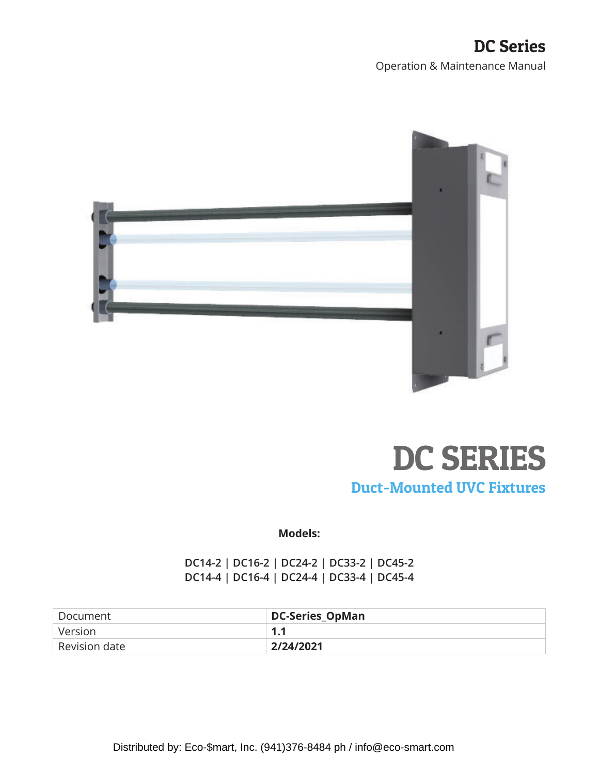### DC Series Operation & Maintenance Manual





**Models:** 

**DC14-2 | DC16-2 | DC24-2 | DC33-2 | DC45-2 DC14-4 | DC16-4 | DC24-4 | DC33-4 | DC45-4** 

| Document      | <b>DC-Series_OpMan</b> |
|---------------|------------------------|
| l Version.    | -1-1                   |
| Revision date | 2/24/2021              |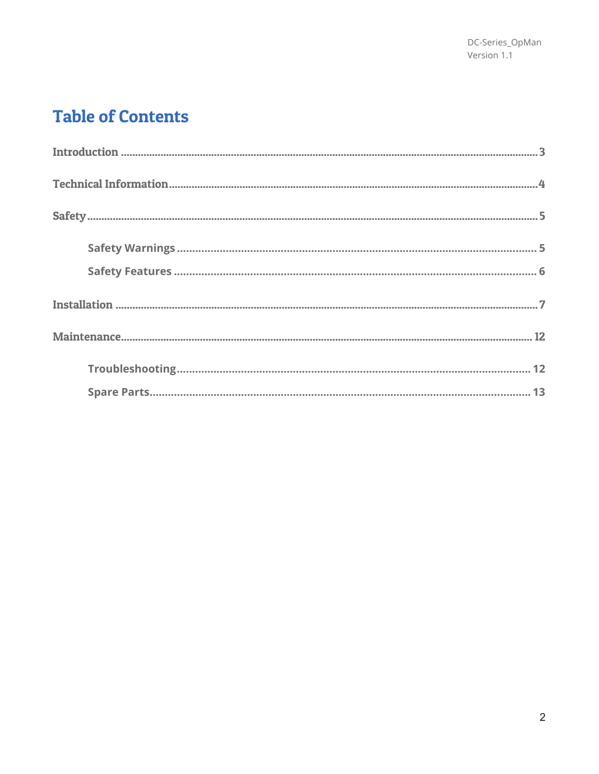# **Table of Contents**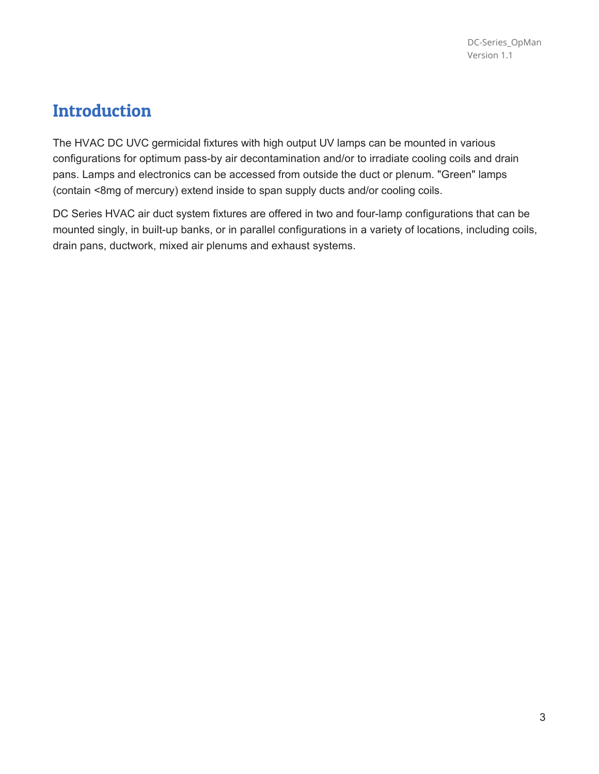## **Introduction**

The HVAC DC UVC germicidal fixtures with high output UV lamps can be mounted in various configurations for optimum pass-by air decontamination and/or to irradiate cooling coils and drain pans. Lamps and electronics can be accessed from outside the duct or plenum. "Green" lamps (contain <8mg of mercury) extend inside to span supply ducts and/or cooling coils.

DC Series HVAC air duct system fixtures are offered in two and four-lamp configurations that can be mounted singly, in built-up banks, or in parallel configurations in a variety of locations, including coils, drain pans, ductwork, mixed air plenums and exhaust systems.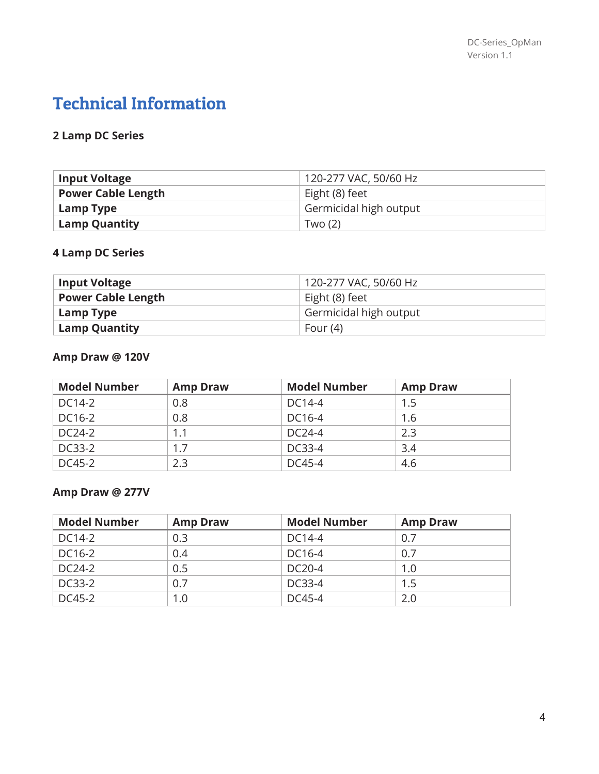# Technical Information

### **2 Lamp DC Series**

| <b>Input Voltage</b>      | 120-277 VAC, 50/60 Hz  |
|---------------------------|------------------------|
| <b>Power Cable Length</b> | Eight (8) feet         |
| Lamp Type                 | Germicidal high output |
| <b>Lamp Quantity</b>      | Two $(2)$              |

### **4 Lamp DC Series**

| <b>Input Voltage</b>      | 120-277 VAC, 50/60 Hz  |
|---------------------------|------------------------|
| <b>Power Cable Length</b> | Eight (8) feet         |
| Lamp Type                 | Germicidal high output |
| <b>Lamp Quantity</b>      | Four $(4)$             |

### **Amp Draw @ 120V**

| <b>Model Number</b> | <b>Amp Draw</b> | <b>Model Number</b> | <b>Amp Draw</b> |
|---------------------|-----------------|---------------------|-----------------|
| DC14-2              | 0.8             | DC14-4              | 1.5             |
| DC16-2              | 0.8             | DC16-4              | 1.6             |
| DC24-2              | 1.1             | DC24-4              | 2.3             |
| DC33-2              | 1.7             | DC33-4              | 3.4             |
| DC45-2              | 2.3             | DC45-4              | 4.6             |

### **Amp Draw @ 277V**

| <b>Model Number</b> | <b>Amp Draw</b> | <b>Model Number</b> | <b>Amp Draw</b> |
|---------------------|-----------------|---------------------|-----------------|
| DC14-2              | 0.3             | DC14-4              | 0.7             |
| DC16-2              | 0.4             | DC16-4              | 0.7             |
| DC24-2              | 0.5             | DC20-4              | 1.0             |
| DC33-2              | 0.7             | DC33-4              | 1.5             |
| DC45-2              | 1.0             | DC45-4              | 2.0             |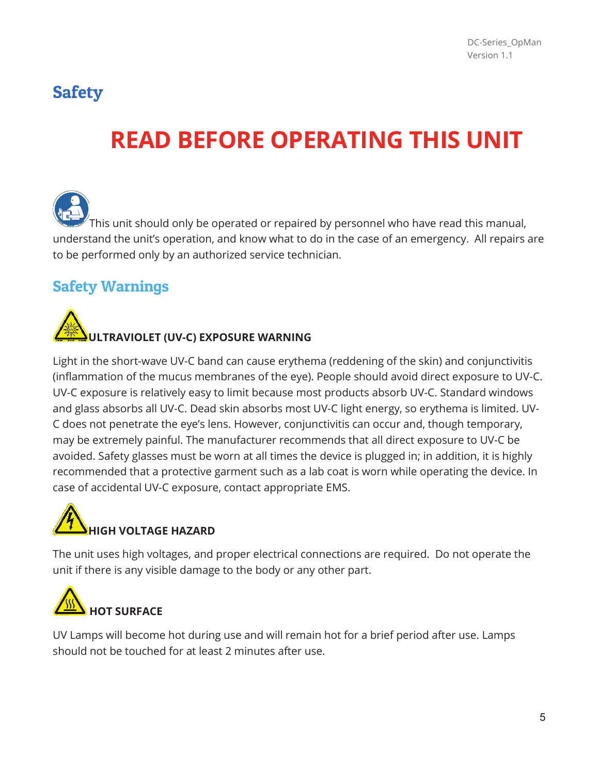# **Safety**

# **READ BEFORE OPERATING THIS UNIT**

This unit should only be operated or repaired by personnel who have read this manual, understand the unit's operation, and know what to do in the case of an emergency. All repairs are to be performed only by an authorized service technician.

## Safety Warnings



Light in the short-wave UV-C band can cause erythema (reddening of the skin) and conjunctivitis (inflammation of the mucus membranes of the eye). People should avoid direct exposure to UV-C. UV-C exposure is relatively easy to limit because most products absorb UV-C. Standard windows and glass absorbs all UV-C. Dead skin absorbs most UV-C light energy, so erythema is limited. UV-C does not penetrate the eye's lens. However, conjunctivitis can occur and, though temporary, may be extremely painful. The manufacturer recommends that all direct exposure to UV-C be avoided. Safety glasses must be worn at all times the device is plugged in; in addition, it is highly recommended that a protective garment such as a lab coat is worn while operating the device. In case of accidental UV-C exposure, contact appropriate EMS.

# **HIGH VOLTAGE HAZARD**

The unit uses high voltages, and proper electrical connections are required. Do not operate the unit if there is any visible damage to the body or any other part.



UV Lamps will become hot during use and will remain hot for a brief period after use. Lamps should not be touched for at least 2 minutes after use.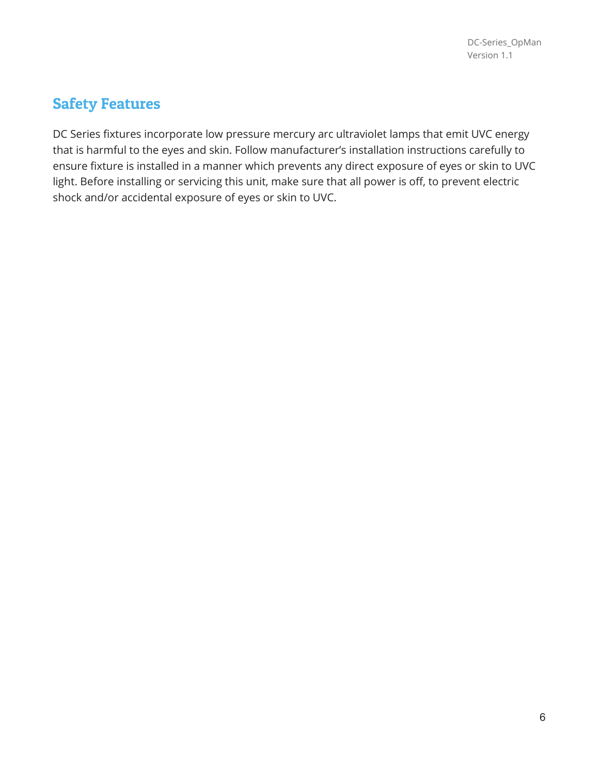### Safety Features

DC Series fixtures incorporate low pressure mercury arc ultraviolet lamps that emit UVC energy that is harmful to the eyes and skin. Follow manufacturer's installation instructions carefully to ensure fixture is installed in a manner which prevents any direct exposure of eyes or skin to UVC light. Before installing or servicing this unit, make sure that all power is off, to prevent electric shock and/or accidental exposure of eyes or skin to UVC.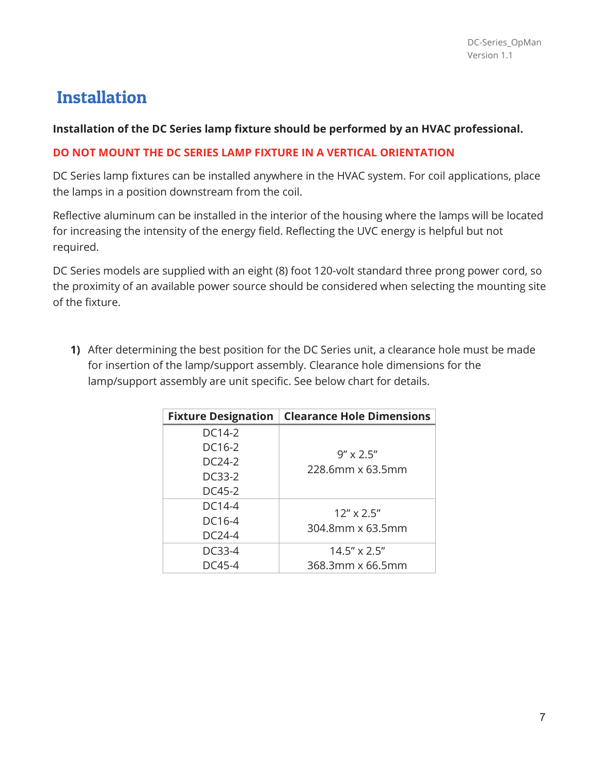# Installation

### **Installation of the DC Series lamp fixture should be performed by an HVAC professional.**

### **DO NOT MOUNT THE DC SERIES LAMP FIXTURE IN A VERTICAL ORIENTATION**

DC Series lamp fixtures can be installed anywhere in the HVAC system. For coil applications, place the lamps in a position downstream from the coil.

Reflective aluminum can be installed in the interior of the housing where the lamps will be located for increasing the intensity of the energy field. Reflecting the UVC energy is helpful but not required.

DC Series models are supplied with an eight (8) foot 120-volt standard three prong power cord, so the proximity of an available power source should be considered when selecting the mounting site of the fixture.

**1)** After determining the best position for the DC Series unit, a clearance hole must be made for insertion of the lamp/support assembly. Clearance hole dimensions for the lamp/support assembly are unit specific. See below chart for details.

| <b>Fixture Designation</b> | <b>Clearance Hole Dimensions</b> |
|----------------------------|----------------------------------|
| DC14-2                     |                                  |
| DC16-2                     | $9'' \times 2.5''$               |
| DC24-2                     | 228.6mm x 63.5mm                 |
| DC33-2                     |                                  |
| DC45-2                     |                                  |
| DC14-4                     | $12'' \times 2.5''$              |
| DC16-4                     | 304.8mm x 63.5mm                 |
| $DC24-4$                   |                                  |
| DC33-4                     | $14.5'' \times 2.5''$            |
| DC45-4                     | 368.3mm x 66.5mm                 |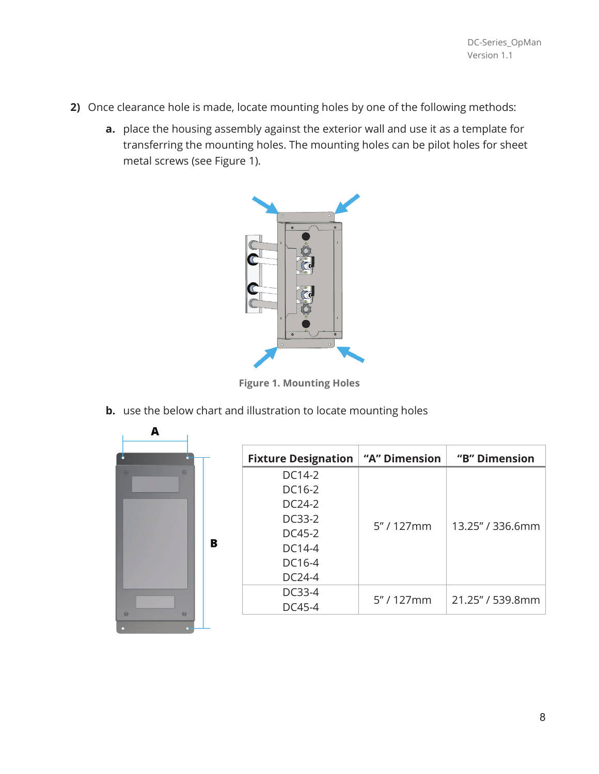- **2)** Once clearance hole is made, locate mounting holes by one of the following methods:
	- **a.** place the housing assembly against the exterior wall and use it as a template for transferring the mounting holes. The mounting holes can be pilot holes for sheet metal screws (see Figure 1).



**Figure 1. Mounting Holes** 

**b.** use the below chart and illustration to locate mounting holes



| <b>Fixture Designation   "A" Dimension</b> |              | "B" Dimension    |
|--------------------------------------------|--------------|------------------|
| DC14-2                                     | $5''/127$ mm |                  |
| DC16-2                                     |              |                  |
| DC24-2                                     |              |                  |
| DC33-2                                     |              | 13.25" / 336.6mm |
| $DC45-2$                                   |              |                  |
| DC14-4                                     |              |                  |
| DC <sub>16-4</sub>                         |              |                  |
| $DC24-4$                                   |              |                  |
| DC33-4                                     | 5''/127mm    | 21.25" / 539.8mm |
| DC45-4                                     |              |                  |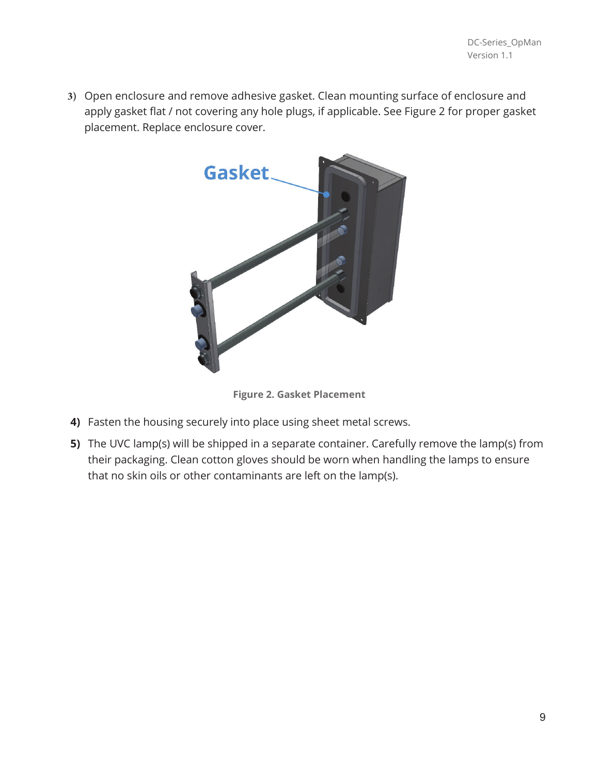Open enclosure and remove adhesive gasket. Clean mounting surface of enclosure and apply gasket flat / not covering any hole plugs, if applicable. See Figure 2 for proper gasket placement. Replace enclosure cover.



**Figure 2. Gasket Placement** 

- **4)** Fasten the housing securely into place using sheet metal screws.
- **5)** The UVC lamp(s) will be shipped in a separate container. Carefully remove the lamp(s) from their packaging. Clean cotton gloves should be worn when handling the lamps to ensure that no skin oils or other contaminants are left on the lamp(s).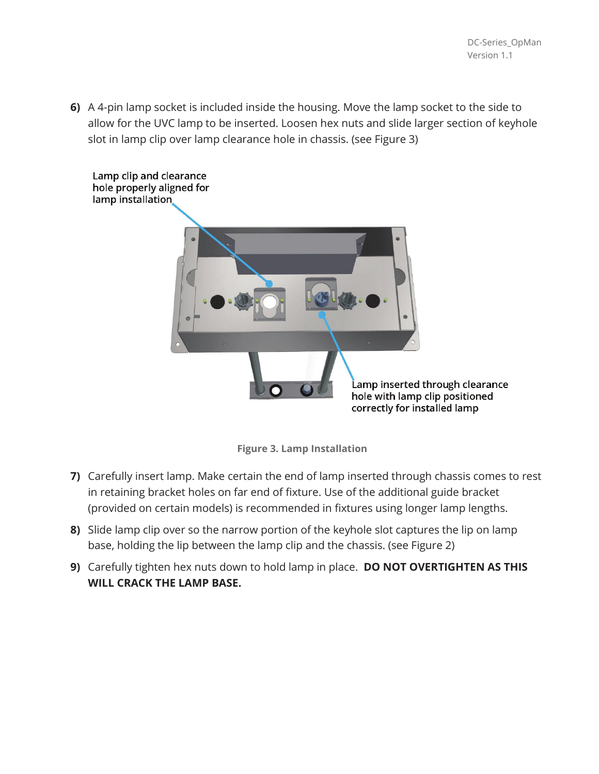**6)** A 4-pin lamp socket is included inside the housing. Move the lamp socket to the side to allow for the UVC lamp to be inserted. Loosen hex nuts and slide larger section of keyhole slot in lamp clip over lamp clearance hole in chassis. (see Figure 3)



**Figure 3. Lamp Installation** 

- **7)** Carefully insert lamp. Make certain the end of lamp inserted through chassis comes to rest in retaining bracket holes on far end of fixture. Use of the additional guide bracket (provided on certain models) is recommended in fixtures using longer lamp lengths.
- **8)** Slide lamp clip over so the narrow portion of the keyhole slot captures the lip on lamp base, holding the lip between the lamp clip and the chassis. (see Figure 2)
- **9)** Carefully tighten hex nuts down to hold lamp in place. **DO NOT OVERTIGHTEN AS THIS WILL CRACK THE LAMP BASE.**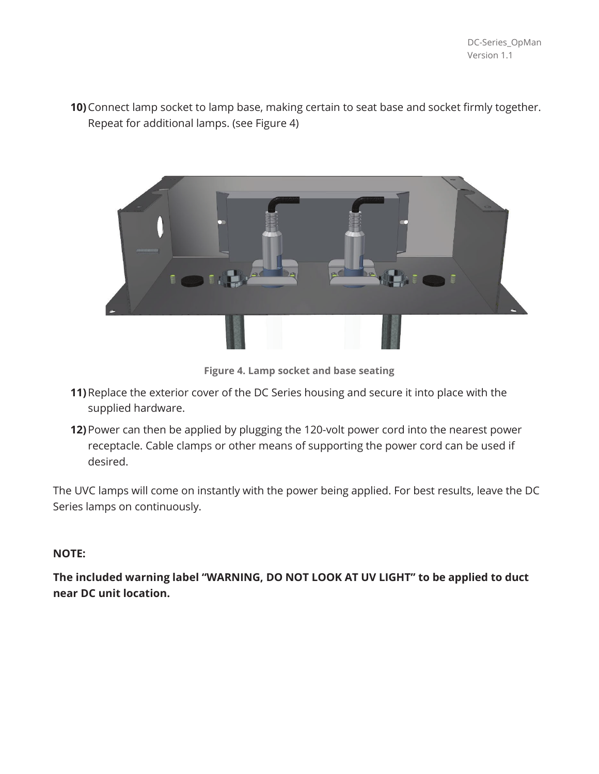**10)**Connect lamp socket to lamp base, making certain to seat base and socket firmly together. Repeat for additional lamps. (see Figure 4)



**Figure 4. Lamp socket and base seating** 

- **11)**Replace the exterior cover of the DC Series housing and secure it into place with the supplied hardware.
- **12)**Power can then be applied by plugging the 120-volt power cord into the nearest power receptacle. Cable clamps or other means of supporting the power cord can be used if desired.

The UVC lamps will come on instantly with the power being applied. For best results, leave the DC Series lamps on continuously.

#### **NOTE:**

**The included warning label "WARNING, DO NOT LOOK AT UV LIGHT" to be applied to duct near DC unit location.**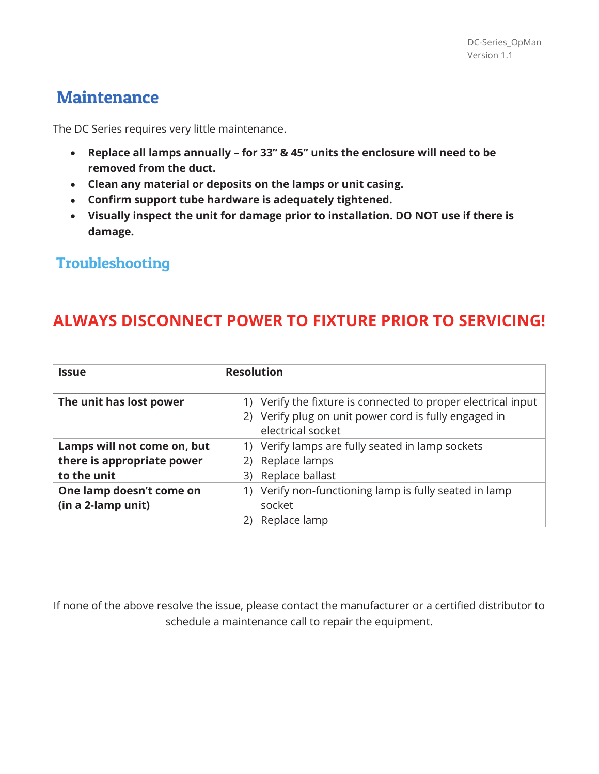## **Maintenance**

The DC Series requires very little maintenance.

- x **Replace all lamps annually for 33" & 45" units the enclosure will need to be removed from the duct.**
- x **Clean any material or deposits on the lamps or unit casing.**
- **Confirm support tube hardware is adequately tightened.**
- x **Visually inspect the unit for damage prior to installation. DO NOT use if there is damage.**

### Troubleshooting

## **ALWAYS DISCONNECT POWER TO FIXTURE PRIOR TO SERVICING!**

| <b>Issue</b>                                                             | <b>Resolution</b>                                                                                                                           |
|--------------------------------------------------------------------------|---------------------------------------------------------------------------------------------------------------------------------------------|
| The unit has lost power                                                  | 1) Verify the fixture is connected to proper electrical input<br>2) Verify plug on unit power cord is fully engaged in<br>electrical socket |
| Lamps will not come on, but<br>there is appropriate power<br>to the unit | 1) Verify lamps are fully seated in lamp sockets<br>2) Replace lamps<br>3) Replace ballast                                                  |
| One lamp doesn't come on<br>(in a 2-lamp unit)                           | 1) Verify non-functioning lamp is fully seated in lamp<br>socket<br>Replace lamp<br>2)                                                      |

If none of the above resolve the issue, please contact the manufacturer or a certified distributor to schedule a maintenance call to repair the equipment.